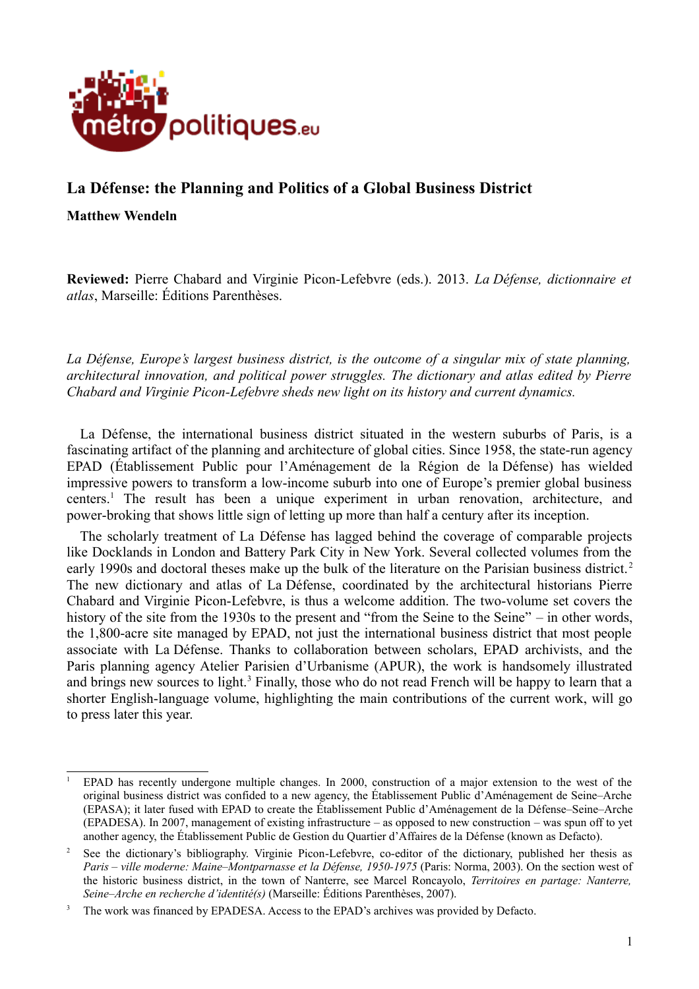

## **La Défense: the Planning and Politics of a Global Business District**

**Matthew Wendeln**

**Reviewed:** Pierre Chabard and Virginie Picon-Lefebvre (eds.). 2013. *La Défense, dictionnaire et atlas*, Marseille: Éditions Parenthèses.

*La Défense, Europe's largest business district, is the outcome of a singular mix of state planning, architectural innovation, and political power struggles. The dictionary and atlas edited by Pierre Chabard and Virginie Picon-Lefebvre sheds new light on its history and current dynamics.*

La Défense, the international business district situated in the western suburbs of Paris, is a fascinating artifact of the planning and architecture of global cities. Since 1958, the state-run agency EPAD (Établissement Public pour l'Aménagement de la Région de la Défense) has wielded impressive powers to transform a low-income suburb into one of Europe's premier global business centers.[1](#page-0-0) The result has been a unique experiment in urban renovation, architecture, and power-broking that shows little sign of letting up more than half a century after its inception.

The scholarly treatment of La Défense has lagged behind the coverage of comparable projects like Docklands in London and Battery Park City in New York. Several collected volumes from the early 1990s and doctoral theses make up the bulk of the literature on the Parisian business district.<sup>[2](#page-0-1)</sup> The new dictionary and atlas of La Défense, coordinated by the architectural historians Pierre Chabard and Virginie Picon-Lefebvre, is thus a welcome addition. The two-volume set covers the history of the site from the 1930s to the present and "from the Seine to the Seine" – in other words, the 1,800-acre site managed by EPAD, not just the international business district that most people associate with La Défense. Thanks to collaboration between scholars, EPAD archivists, and the Paris planning agency Atelier Parisien d'Urbanisme (APUR), the work is handsomely illustrated and brings new sources to light.<sup>[3](#page-0-2)</sup> Finally, those who do not read French will be happy to learn that a shorter English-language volume, highlighting the main contributions of the current work, will go to press later this year.

<span id="page-0-0"></span><sup>&</sup>lt;sup>1</sup> EPAD has recently undergone multiple changes. In 2000, construction of a major extension to the west of the original business district was confided to a new agency, the Établissement Public d'Aménagement de Seine–Arche (EPASA); it later fused with EPAD to create the Établissement Public d'Aménagement de la Défense–Seine–Arche (EPADESA). In 2007, management of existing infrastructure – as opposed to new construction – was spun off to yet another agency, the Établissement Public de Gestion du Quartier d'Affaires de la Défense (known as Defacto).

<span id="page-0-1"></span><sup>2</sup> See the dictionary's bibliography. Virginie Picon-Lefebvre, co-editor of the dictionary, published her thesis as *Paris – ville moderne: Maine–Montparnasse et la Défense, 1950-1975* (Paris: Norma, 2003). On the section west of the historic business district, in the town of Nanterre, see Marcel Roncayolo, *Territoires en partage: Nanterre, Seine–Arche en recherche d'identité(s)* (Marseille: Éditions Parenthèses, 2007).

<span id="page-0-2"></span><sup>3</sup> The work was financed by EPADESA. Access to the EPAD's archives was provided by Defacto.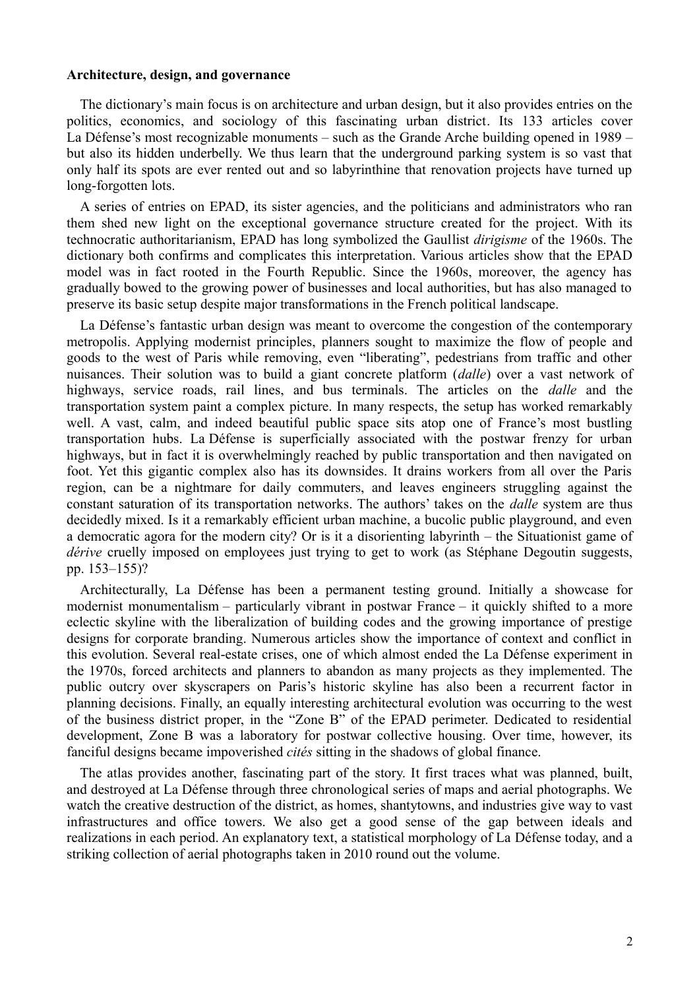## **Architecture, design, and governance**

The dictionary's main focus is on architecture and urban design, but it also provides entries on the politics, economics, and sociology of this fascinating urban district. Its 133 articles cover La Défense's most recognizable monuments – such as the Grande Arche building opened in 1989 – but also its hidden underbelly. We thus learn that the underground parking system is so vast that only half its spots are ever rented out and so labyrinthine that renovation projects have turned up long-forgotten lots.

A series of entries on EPAD, its sister agencies, and the politicians and administrators who ran them shed new light on the exceptional governance structure created for the project. With its technocratic authoritarianism, EPAD has long symbolized the Gaullist *dirigisme* of the 1960s. The dictionary both confirms and complicates this interpretation. Various articles show that the EPAD model was in fact rooted in the Fourth Republic. Since the 1960s, moreover, the agency has gradually bowed to the growing power of businesses and local authorities, but has also managed to preserve its basic setup despite major transformations in the French political landscape.

La Défense's fantastic urban design was meant to overcome the congestion of the contemporary metropolis. Applying modernist principles, planners sought to maximize the flow of people and goods to the west of Paris while removing, even "liberating", pedestrians from traffic and other nuisances. Their solution was to build a giant concrete platform (*dalle*) over a vast network of highways, service roads, rail lines, and bus terminals. The articles on the *dalle* and the transportation system paint a complex picture. In many respects, the setup has worked remarkably well. A vast, calm, and indeed beautiful public space sits atop one of France's most bustling transportation hubs. La Défense is superficially associated with the postwar frenzy for urban highways, but in fact it is overwhelmingly reached by public transportation and then navigated on foot. Yet this gigantic complex also has its downsides. It drains workers from all over the Paris region, can be a nightmare for daily commuters, and leaves engineers struggling against the constant saturation of its transportation networks. The authors' takes on the *dalle* system are thus decidedly mixed. Is it a remarkably efficient urban machine, a bucolic public playground, and even a democratic agora for the modern city? Or is it a disorienting labyrinth – the Situationist game of *dérive* cruelly imposed on employees just trying to get to work (as Stéphane Degoutin suggests, pp. 153–155)?

Architecturally, La Défense has been a permanent testing ground. Initially a showcase for modernist monumentalism – particularly vibrant in postwar France – it quickly shifted to a more eclectic skyline with the liberalization of building codes and the growing importance of prestige designs for corporate branding. Numerous articles show the importance of context and conflict in this evolution. Several real-estate crises, one of which almost ended the La Défense experiment in the 1970s, forced architects and planners to abandon as many projects as they implemented. The public outcry over skyscrapers on Paris's historic skyline has also been a recurrent factor in planning decisions. Finally, an equally interesting architectural evolution was occurring to the west of the business district proper, in the "Zone B" of the EPAD perimeter. Dedicated to residential development, Zone B was a laboratory for postwar collective housing. Over time, however, its fanciful designs became impoverished *cités* sitting in the shadows of global finance.

The atlas provides another, fascinating part of the story. It first traces what was planned, built, and destroyed at La Défense through three chronological series of maps and aerial photographs. We watch the creative destruction of the district, as homes, shantytowns, and industries give way to vast infrastructures and office towers. We also get a good sense of the gap between ideals and realizations in each period. An explanatory text, a statistical morphology of La Défense today, and a striking collection of aerial photographs taken in 2010 round out the volume.